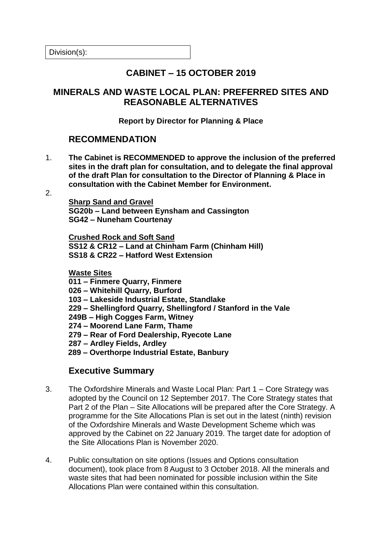Division(s):

# **CABINET – 15 OCTOBER 2019**

## **MINERALS AND WASTE LOCAL PLAN: PREFERRED SITES AND REASONABLE ALTERNATIVES**

#### **Report by Director for Planning & Place**

### **RECOMMENDATION**

- 1. **The Cabinet is RECOMMENDED to approve the inclusion of the preferred sites in the draft plan for consultation, and to delegate the final approval of the draft Plan for consultation to the Director of Planning & Place in consultation with the Cabinet Member for Environment.**
- $\mathcal{P}$

**Sharp Sand and Gravel SG20b – Land between Eynsham and Cassington SG42 – Nuneham Courtenay**

**Crushed Rock and Soft Sand SS12 & CR12 – Land at Chinham Farm (Chinham Hill) SS18 & CR22 – Hatford West Extension**

**Waste Sites**

- **011 – Finmere Quarry, Finmere**
- **026 – Whitehill Quarry, Burford**
- **103 – Lakeside Industrial Estate, Standlake**
- **229 – Shellingford Quarry, Shellingford / Stanford in the Vale**
- **249B – High Cogges Farm, Witney**
- **274 – Moorend Lane Farm, Thame**
- **279 – Rear of Ford Dealership, Ryecote Lane**
- **287 – Ardley Fields, Ardley**
- **289 – Overthorpe Industrial Estate, Banbury**

## **Executive Summary**

- 3. The Oxfordshire Minerals and Waste Local Plan: Part 1 Core Strategy was adopted by the Council on 12 September 2017. The Core Strategy states that Part 2 of the Plan – Site Allocations will be prepared after the Core Strategy. A programme for the Site Allocations Plan is set out in the latest (ninth) revision of the Oxfordshire Minerals and Waste Development Scheme which was approved by the Cabinet on 22 January 2019. The target date for adoption of the Site Allocations Plan is November 2020.
- 4. Public consultation on site options (Issues and Options consultation document), took place from 8 August to 3 October 2018. All the minerals and waste sites that had been nominated for possible inclusion within the Site Allocations Plan were contained within this consultation.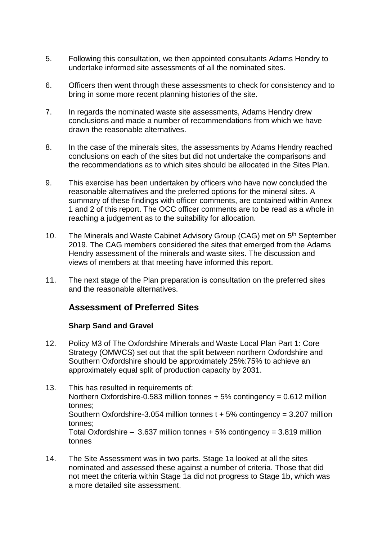- 5. Following this consultation, we then appointed consultants Adams Hendry to undertake informed site assessments of all the nominated sites.
- 6. Officers then went through these assessments to check for consistency and to bring in some more recent planning histories of the site.
- 7. In regards the nominated waste site assessments, Adams Hendry drew conclusions and made a number of recommendations from which we have drawn the reasonable alternatives.
- 8. In the case of the minerals sites, the assessments by Adams Hendry reached conclusions on each of the sites but did not undertake the comparisons and the recommendations as to which sites should be allocated in the Sites Plan.
- 9. This exercise has been undertaken by officers who have now concluded the reasonable alternatives and the preferred options for the mineral sites. A summary of these findings with officer comments, are contained within Annex 1 and 2 of this report. The OCC officer comments are to be read as a whole in reaching a judgement as to the suitability for allocation.
- 10. The Minerals and Waste Cabinet Advisory Group (CAG) met on 5<sup>th</sup> September 2019. The CAG members considered the sites that emerged from the Adams Hendry assessment of the minerals and waste sites. The discussion and views of members at that meeting have informed this report.
- 11. The next stage of the Plan preparation is consultation on the preferred sites and the reasonable alternatives.

## **Assessment of Preferred Sites**

### **Sharp Sand and Gravel**

- 12. Policy M3 of The Oxfordshire Minerals and Waste Local Plan Part 1: Core Strategy (OMWCS) set out that the split between northern Oxfordshire and Southern Oxfordshire should be approximately 25%:75% to achieve an approximately equal split of production capacity by 2031.
- 13. This has resulted in requirements of: Northern Oxfordshire-0.583 million tonnes + 5% contingency = 0.612 million tonnes; Southern Oxfordshire-3.054 million tonnes  $t + 5%$  contingency = 3.207 million tonnes; Total Oxfordshire  $-3.637$  million tonnes  $+5\%$  contingency = 3.819 million tonnes
- 14. The Site Assessment was in two parts. Stage 1a looked at all the sites nominated and assessed these against a number of criteria. Those that did not meet the criteria within Stage 1a did not progress to Stage 1b, which was a more detailed site assessment.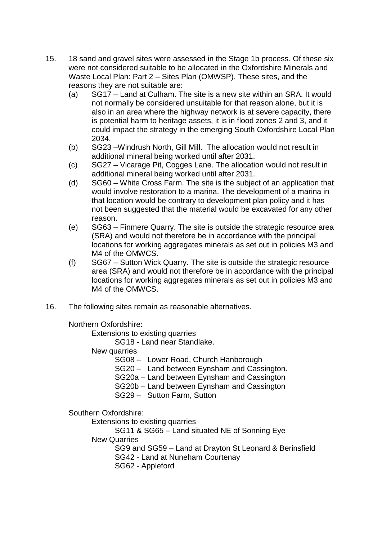- 15. 18 sand and gravel sites were assessed in the Stage 1b process. Of these six were not considered suitable to be allocated in the Oxfordshire Minerals and Waste Local Plan: Part 2 – Sites Plan (OMWSP). These sites, and the reasons they are not suitable are:
	- (a) SG17 Land at Culham. The site is a new site within an SRA. It would not normally be considered unsuitable for that reason alone, but it is also in an area where the highway network is at severe capacity, there is potential harm to heritage assets, it is in flood zones 2 and 3, and it could impact the strategy in the emerging South Oxfordshire Local Plan 2034.
	- (b) SG23 –Windrush North, Gill Mill. The allocation would not result in additional mineral being worked until after 2031.
	- (c) SG27 Vicarage Pit, Cogges Lane. The allocation would not result in additional mineral being worked until after 2031.
	- (d) SG60 White Cross Farm. The site is the subject of an application that would involve restoration to a marina. The development of a marina in that location would be contrary to development plan policy and it has not been suggested that the material would be excavated for any other reason.
	- (e) SG63 Finmere Quarry. The site is outside the strategic resource area (SRA) and would not therefore be in accordance with the principal locations for working aggregates minerals as set out in policies M3 and M4 of the OMWCS.
	- (f) SG67 Sutton Wick Quarry. The site is outside the strategic resource area (SRA) and would not therefore be in accordance with the principal locations for working aggregates minerals as set out in policies M3 and M4 of the OMWCS.
- 16. The following sites remain as reasonable alternatives.

Northern Oxfordshire:

Extensions to existing quarries

SG18 - Land near Standlake.

New quarries

SG08 – Lower Road, Church Hanborough

SG20 – Land between Eynsham and Cassington.

- SG20a Land between Eynsham and Cassington
- SG20b Land between Eynsham and Cassington

SG29 – Sutton Farm, Sutton

Southern Oxfordshire:

Extensions to existing quarries

SG11 & SG65 – Land situated NE of Sonning Eye

New Quarries

SG9 and SG59 – Land at Drayton St Leonard & Berinsfield

SG42 - Land at Nuneham Courtenay

SG62 - Appleford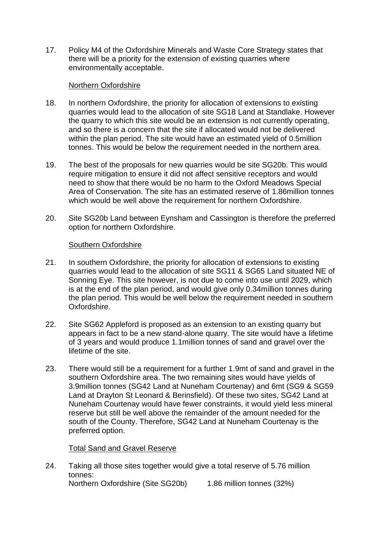17. Policy M4 of the Oxfordshire Minerals and Waste Core Strategy states that there will be a priority for the extension of existing quarries where environmentally acceptable.

#### Northern Oxfordshire

- 18. In northern Oxfordshire, the priority for allocation of extensions to existing quarries would lead to the allocation of site SG18 Land at Standlake. However the quarry to which this site would be an extension is not currently operating, and so there is a concern that the site if allocated would not be delivered within the plan period. The site would have an estimated yield of 0.5million tonnes. This would be below the requirement needed in the northern area.
- 19. The best of the proposals for new quarries would be site SG20b. This would require mitigation to ensure it did not affect sensitive receptors and would need to show that there would be no harm to the Oxford Meadows Special Area of Conservation. The site has an estimated reserve of 1.86million tonnes which would be well above the requirement for northern Oxfordshire.
- 20. Site SG20b Land between Eynsham and Cassington is therefore the preferred option for northern Oxfordshire.

#### Southern Oxfordshire

- 21. In southern Oxfordshire, the priority for allocation of extensions to existing quarries would lead to the allocation of site SG11 & SG65 Land situated NE of Sonning Eye. This site however, is not due to come into use until 2029, which is at the end of the plan period, and would give only 0.34million tonnes during the plan period. This would be well below the requirement needed in southern Oxfordshire.
- 22. Site SG62 Appleford is proposed as an extension to an existing quarry but appears in fact to be a new stand-alone quarry. The site would have a lifetime of 3 years and would produce 1.1million tonnes of sand and gravel over the lifetime of the site.
- 23. There would still be a requirement for a further 1.9mt of sand and gravel in the southern Oxfordshire area. The two remaining sites would have yields of 3.9million tonnes (SG42 Land at Nuneham Courtenay) and 6mt (SG9 & SG59 Land at Drayton St Leonard & Berinsfield). Of these two sites, SG42 Land at Nuneham Courtenay would have fewer constraints, it would yield less mineral reserve but still be well above the remainder of the amount needed for the south of the County. Therefore, SG42 Land at Nuneham Courtenay is the preferred option.

#### Total Sand and Gravel Reserve

24. Taking all those sites together would give a total reserve of 5.76 million tonnes: Northern Oxfordshire (Site SG20b) 1.86 million tonnes (32%)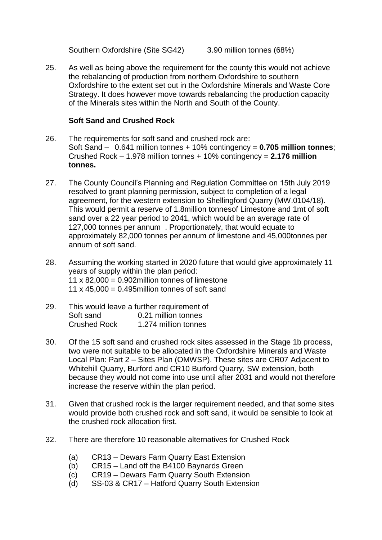Southern Oxfordshire (Site SG42) 3.90 million tonnes (68%)

25. As well as being above the requirement for the county this would not achieve the rebalancing of production from northern Oxfordshire to southern Oxfordshire to the extent set out in the Oxfordshire Minerals and Waste Core Strategy. It does however move towards rebalancing the production capacity of the Minerals sites within the North and South of the County.

### **Soft Sand and Crushed Rock**

- 26. The requirements for soft sand and crushed rock are: Soft Sand – 0.641 million tonnes + 10% contingency = **0.705 million tonnes**; Crushed Rock – 1.978 million tonnes + 10% contingency = **2.176 million tonnes.**
- 27. The County Council's Planning and Regulation Committee on 15th July 2019 resolved to grant planning permission, subject to completion of a legal agreement, for the western extension to Shellingford Quarry (MW.0104/18). This would permit a reserve of 1.8million tonnesof Limestone and 1mt of soft sand over a 22 year period to 2041, which would be an average rate of 127,000 tonnes per annum . Proportionately, that would equate to approximately 82,000 tonnes per annum of limestone and 45,000tonnes per annum of soft sand.
- 28. Assuming the working started in 2020 future that would give approximately 11 years of supply within the plan period: 11  $\times$  82,000 = 0.902 million tonnes of limestone 11 x 45,000 = 0.495 million tonnes of soft sand
- 29. This would leave a further requirement of Soft sand 0.21 million tonnes Crushed Rock 1.274 million tonnes
- 30. Of the 15 soft sand and crushed rock sites assessed in the Stage 1b process, two were not suitable to be allocated in the Oxfordshire Minerals and Waste Local Plan: Part 2 – Sites Plan (OMWSP). These sites are CR07 Adjacent to Whitehill Quarry, Burford and CR10 Burford Quarry, SW extension, both because they would not come into use until after 2031 and would not therefore increase the reserve within the plan period.
- 31. Given that crushed rock is the larger requirement needed, and that some sites would provide both crushed rock and soft sand, it would be sensible to look at the crushed rock allocation first.
- 32. There are therefore 10 reasonable alternatives for Crushed Rock
	- (a) CR13 Dewars Farm Quarry East Extension
	- (b) CR15 Land off the B4100 Baynards Green
	- (c) CR19 Dewars Farm Quarry South Extension
	- (d) SS-03 & CR17 Hatford Quarry South Extension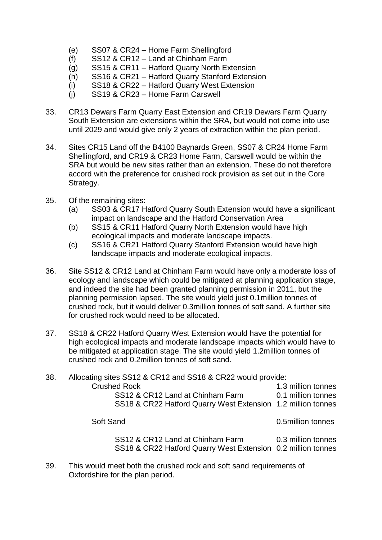- (e) SS07 & CR24 Home Farm Shellingford
- (f) SS12 & CR12 Land at Chinham Farm
- (g) SS15 & CR11 Hatford Quarry North Extension
- (h) SS16 & CR21 Hatford Quarry Stanford Extension
- (i) SS18 & CR22 Hatford Quarry West Extension
- (j) SS19 & CR23 Home Farm Carswell
- 33. CR13 Dewars Farm Quarry East Extension and CR19 Dewars Farm Quarry South Extension are extensions within the SRA, but would not come into use until 2029 and would give only 2 years of extraction within the plan period.
- 34. Sites CR15 Land off the B4100 Baynards Green, SS07 & CR24 Home Farm Shellingford, and CR19 & CR23 Home Farm, Carswell would be within the SRA but would be new sites rather than an extension. These do not therefore accord with the preference for crushed rock provision as set out in the Core Strategy.
- 35. Of the remaining sites:
	- (a) SS03 & CR17 Hatford Quarry South Extension would have a significant impact on landscape and the Hatford Conservation Area
	- (b) SS15 & CR11 Hatford Quarry North Extension would have high ecological impacts and moderate landscape impacts.
	- (c) SS16 & CR21 Hatford Quarry Stanford Extension would have high landscape impacts and moderate ecological impacts.
- 36. Site SS12 & CR12 Land at Chinham Farm would have only a moderate loss of ecology and landscape which could be mitigated at planning application stage, and indeed the site had been granted planning permission in 2011, but the planning permission lapsed. The site would yield just 0.1million tonnes of crushed rock, but it would deliver 0.3million tonnes of soft sand. A further site for crushed rock would need to be allocated.
- 37. SS18 & CR22 Hatford Quarry West Extension would have the potential for high ecological impacts and moderate landscape impacts which would have to be mitigated at application stage. The site would yield 1.2million tonnes of crushed rock and 0.2million tonnes of soft sand.

| 38. | Allocating sites SS12 & CR12 and SS18 & CR22 would provide:  |                    |
|-----|--------------------------------------------------------------|--------------------|
|     | <b>Crushed Rock</b>                                          | 1.3 million tonnes |
|     | SS12 & CR12 Land at Chinham Farm                             | 0.1 million tonnes |
|     | SS18 & CR22 Hatford Quarry West Extension 1.2 million tonnes |                    |
|     | Soft Sand                                                    | 0.5million tonnes  |
|     | SS12 & CR12 Land at Chinham Farm                             | 0.3 million tonnes |

SS18 & CR22 Hatford Quarry West Extension 0.2 million tonnes

39. This would meet both the crushed rock and soft sand requirements of Oxfordshire for the plan period.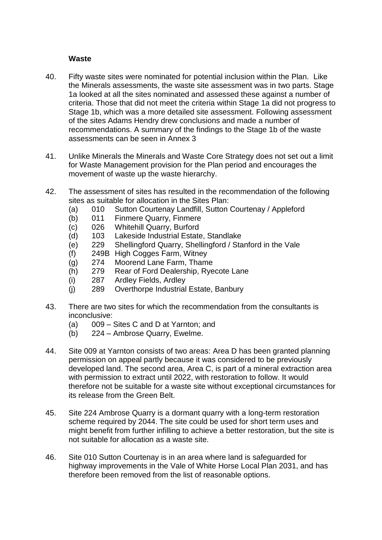#### **Waste**

- 40. Fifty waste sites were nominated for potential inclusion within the Plan. Like the Minerals assessments, the waste site assessment was in two parts. Stage 1a looked at all the sites nominated and assessed these against a number of criteria. Those that did not meet the criteria within Stage 1a did not progress to Stage 1b, which was a more detailed site assessment. Following assessment of the sites Adams Hendry drew conclusions and made a number of recommendations. A summary of the findings to the Stage 1b of the waste assessments can be seen in Annex 3
- 41. Unlike Minerals the Minerals and Waste Core Strategy does not set out a limit for Waste Management provision for the Plan period and encourages the movement of waste up the waste hierarchy.
- 42. The assessment of sites has resulted in the recommendation of the following sites as suitable for allocation in the Sites Plan:
	- (a) 010 Sutton Courtenay Landfill, Sutton Courtenay / Appleford
	- (b) 011 Finmere Quarry, Finmere
	- (c) 026 Whitehill Quarry, Burford
	- (d) 103 Lakeside Industrial Estate, Standlake
	- (e) 229 Shellingford Quarry, Shellingford / Stanford in the Vale
	- (f) 249B High Cogges Farm, Witney
	- (g) 274 Moorend Lane Farm, Thame
	- (h) 279 Rear of Ford Dealership, Ryecote Lane
	- (i) 287 Ardley Fields, Ardley
	- (j) 289 Overthorpe Industrial Estate, Banbury
- 43. There are two sites for which the recommendation from the consultants is inconclusive:
	- (a) 009 Sites C and D at Yarnton; and
	- (b) 224 Ambrose Quarry, Ewelme.
- 44. Site 009 at Yarnton consists of two areas: Area D has been granted planning permission on appeal partly because it was considered to be previously developed land. The second area, Area C, is part of a mineral extraction area with permission to extract until 2022, with restoration to follow. It would therefore not be suitable for a waste site without exceptional circumstances for its release from the Green Belt.
- 45. Site 224 Ambrose Quarry is a dormant quarry with a long-term restoration scheme required by 2044. The site could be used for short term uses and might benefit from further infilling to achieve a better restoration, but the site is not suitable for allocation as a waste site.
- 46. Site 010 Sutton Courtenay is in an area where land is safeguarded for highway improvements in the Vale of White Horse Local Plan 2031, and has therefore been removed from the list of reasonable options.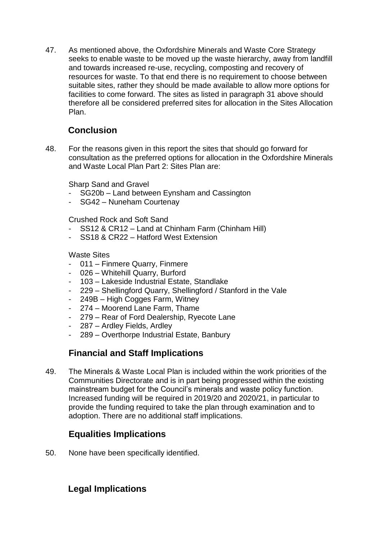47. As mentioned above, the Oxfordshire Minerals and Waste Core Strategy seeks to enable waste to be moved up the waste hierarchy, away from landfill and towards increased re-use, recycling, composting and recovery of resources for waste. To that end there is no requirement to choose between suitable sites, rather they should be made available to allow more options for facilities to come forward. The sites as listed in paragraph 31 above should therefore all be considered preferred sites for allocation in the Sites Allocation Plan.

# **Conclusion**

48. For the reasons given in this report the sites that should go forward for consultation as the preferred options for allocation in the Oxfordshire Minerals and Waste Local Plan Part 2: Sites Plan are:

Sharp Sand and Gravel

- SG20b Land between Eynsham and Cassington
- SG42 Nuneham Courtenay

Crushed Rock and Soft Sand

- SS12 & CR12 Land at Chinham Farm (Chinham Hill)
- SS18 & CR22 Hatford West Extension

### Waste Sites

- 011 Finmere Quarry, Finmere
- 026 Whitehill Quarry, Burford
- 103 Lakeside Industrial Estate, Standlake
- 229 Shellingford Quarry, Shellingford / Stanford in the Vale
- 249B High Cogges Farm, Witney
- 274 Moorend Lane Farm, Thame
- 279 Rear of Ford Dealership, Ryecote Lane
- 287 Ardley Fields, Ardley
- 289 Overthorpe Industrial Estate, Banbury

# **Financial and Staff Implications**

49. The Minerals & Waste Local Plan is included within the work priorities of the Communities Directorate and is in part being progressed within the existing mainstream budget for the Council's minerals and waste policy function. Increased funding will be required in 2019/20 and 2020/21, in particular to provide the funding required to take the plan through examination and to adoption. There are no additional staff implications.

# **Equalities Implications**

50. None have been specifically identified.

# **Legal Implications**